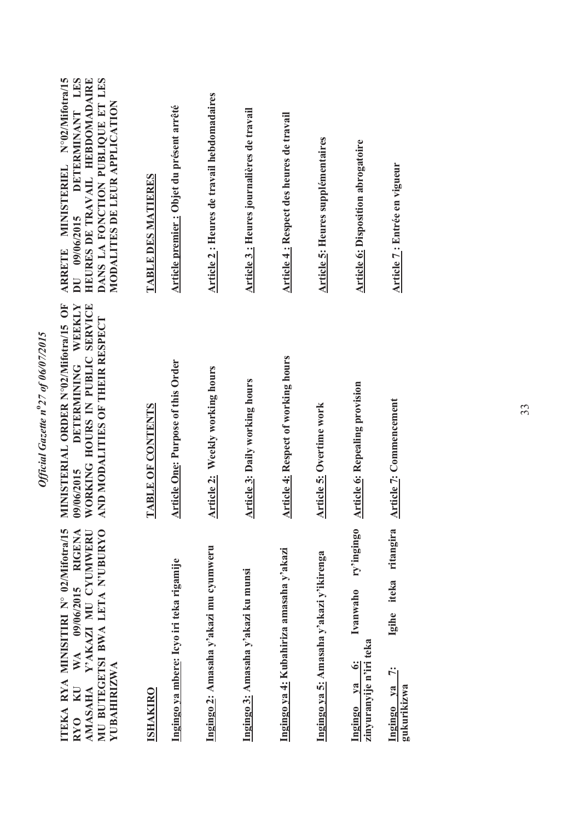| ITEKA RYA MINISITIRI N° 02/Mifotra/15<br>MU BUTEGETSI BWA LETA N'UBURYO<br>RYO KU WA 09/06/2015 RIGENA<br>AMASAHA Y'AKAZI MU CYUMWERU<br>YUBAHIRIZWA | MINISTERIAL ORDER N°02/Mifotra/15 OF<br>DETERMINING WEEKLY<br>WORKING HOURS IN PUBLIC SERVICE<br>AND MODALITIES OF THEIR RESPECT<br>09/06/2015 | ARRETE MINISTERIEL N°02/Mifotra/15<br>DANS LA FONCTION PUBLIQUE ET LES<br>DETERMINANT LES<br>HEURES DE TRAVAIL HEBDOMADAIRE<br>MODALITES DE LEUR APPLICATION<br>DU 09/06/2015 |
|------------------------------------------------------------------------------------------------------------------------------------------------------|------------------------------------------------------------------------------------------------------------------------------------------------|-------------------------------------------------------------------------------------------------------------------------------------------------------------------------------|
| <b>ISHAKIRO</b>                                                                                                                                      | <b>TABLE OF CONTENTS</b>                                                                                                                       | TABLE DES MATIERES                                                                                                                                                            |
| Ingingo ya mbere: Icyo iri teka rigamije                                                                                                             | <b>Article One: Purpose of this Order</b>                                                                                                      | Article premier : Objet du présent arrêté                                                                                                                                     |
| Ingingo 2: Amasaha y'akazi mu cyumweru                                                                                                               | <b>Article 2: Weekly working hours</b>                                                                                                         | Article 2 : Heures de travail hebdomadaires                                                                                                                                   |
| Ingingo 3: Amasaha y'akazi ku munsi                                                                                                                  | <b>Article 3: Daily working hours</b>                                                                                                          | Article 3 : Heures journalières de travail                                                                                                                                    |
| Ingingo ya 4: Kubahiriza amasaha y'akazi                                                                                                             | <b>Article 4: Respect of working hours</b>                                                                                                     | Article 4: Respect des heures de travail                                                                                                                                      |
| Ingingo ya 5: Amasaha y'akazi y'ikirenga                                                                                                             | <b>Article 5: Overtime work</b>                                                                                                                | <b>Article 5: Heures supplémentaires</b>                                                                                                                                      |
| ry'ingingo<br>Ivanwaho<br>zinyuranyije n'iri teka<br>$\ddot{\bm{s}}$<br>Ingingo ya                                                                   | <b>Article 6: Repealing provision</b>                                                                                                          | <b>Article 6: Disposition abrogatoire</b>                                                                                                                                     |
| ritangira<br>iteka<br>Igihe<br>Ÿ<br>Ingingo ya<br>gukurikizwa                                                                                        | <b>Article 7: Commencement</b>                                                                                                                 | Article 7: Entrée en vigueur                                                                                                                                                  |
|                                                                                                                                                      |                                                                                                                                                |                                                                                                                                                                               |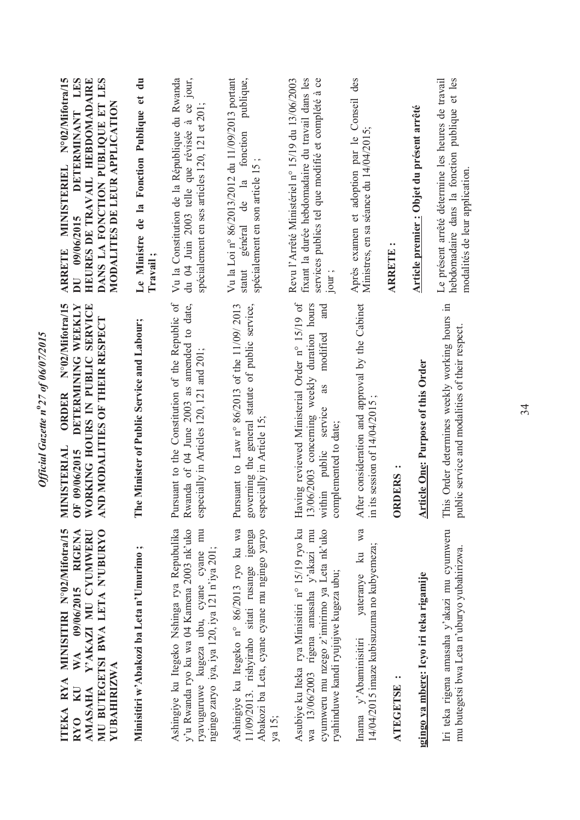| Après examen et adoption par le Conseil des<br>hebdomadaire dans la fonction publique et les<br>Le présent arrêté détermine les heures de travail<br>Article premier : Objet du présent arrêté<br>Ministres, en sa séance du 14/04/2015;<br>modalités de leur application<br><b>ARRETE:</b> | After consideration and approval by the Cabinet<br>This Order determines weekly working hours in<br>public service and modalities of their respect.<br><b>Article One: Purpose of this Order</b><br>its session of $14/04/2015$<br>complemented to date;<br><b>ORDERS</b><br>$\Xi$ | yateranye ku wa<br>Iri teka rigena amasaha y'akazi mu cyumweru<br>14/04/2015 imaze kubisuzuma no kubyemeza;<br>mu butegetsi bwa Leta n'uburyo yubahirizwa.<br>ryahinduwe kandi ryujujwe kugeza ubu;<br><u>igingo ya mbere:</u> Icyo iri teka rigamije<br>Inama y'Abaminisitiri<br>ATEGETSE: |
|---------------------------------------------------------------------------------------------------------------------------------------------------------------------------------------------------------------------------------------------------------------------------------------------|------------------------------------------------------------------------------------------------------------------------------------------------------------------------------------------------------------------------------------------------------------------------------------|---------------------------------------------------------------------------------------------------------------------------------------------------------------------------------------------------------------------------------------------------------------------------------------------|
|                                                                                                                                                                                                                                                                                             |                                                                                                                                                                                                                                                                                    |                                                                                                                                                                                                                                                                                             |
|                                                                                                                                                                                                                                                                                             |                                                                                                                                                                                                                                                                                    |                                                                                                                                                                                                                                                                                             |
| fixant la durée hebdomadaire du travail dans les<br>services publics tel que modifié et complété à ce<br>Revu l'Arrêté Ministériel n° 15/19 du 13/06/2003<br>jour;                                                                                                                          | Having reviewed Ministerial Order n° 15/19 of<br>13/06/2003 concerning weekly duration hours<br>and<br>modified<br>as<br>within public service                                                                                                                                     | Asubiye ku Iteka rya Minisitiri n° 15/19 ryo ku<br>cyumweru mu nzego z'imirimo ya Leta nk'uko<br>wa 13/06/2003 rigena amasaha y'akazi mu                                                                                                                                                    |
| Vu la Loi n° 86/2013/2012 du 11/09/2013 portant<br>publique,<br>général de la fonction<br>spécialement en son article 15;<br>statut                                                                                                                                                         | Pursuant to Law n° 86/2013 of the 11/09/ 2013<br>governing the general statute of public service,<br>especially in Article 15.                                                                                                                                                     | Ashingiye ku Itegeko n° 86/2013 ryo ku wa<br>Abakozi ba Leta, cyane cyane mu ngingo yaryo<br>11/09/2013. rishyiraho sitati rusange igenga<br>ya 15;                                                                                                                                         |
| du 04 Juin 2003 telle que révisée à ce jour,<br>Vu la Constitution de la République du Rwanda<br>spécialement en ses articles 120, 121 et 201;                                                                                                                                              | Pursuant to the Constitution of the Republic of<br>Rwanda of 04 June 2003 as amended to date,<br>especially in Articles 120, 121 and 201;                                                                                                                                          | ryavuguruwe kugeza ubu, cyane cyane mu<br>Ashingiye ku Itegeko Nshinga rya Repubulika<br>y'u Rwanda ryo ku wa 04 Kamena 2003 nk'uko<br>ngingo zaryo iya, iya 120, iya 121 n'iya 201;                                                                                                        |
| Le Ministre de la Fonction Publique et du<br>Travail;                                                                                                                                                                                                                                       | The Minister of Public Service and Labour;                                                                                                                                                                                                                                         | Minisitiri w'Abakozi ba Leta n'Umurimo;                                                                                                                                                                                                                                                     |
| DANS LA FONCTION PUBLIQUE ET LES<br>N°02/Mifotra/15<br>DETERMINANT LES<br>HEURES DE TRAVAIL HEBDOMADAIRE<br>MODALITES DE LEUR APPLICATION<br><b>MINISTERIEL</b><br>DU 09/06/2015<br><b>ARRETE</b>                                                                                           | N°02/Mifotra/15<br>DETERMINING WEEKLY<br>WORKING HOURS IN PUBLIC SERVICE<br>AND MODALITIES OF THEIR RESPECT<br>ORDER<br>MINISTERIAL<br>F 09/06/2015<br>ō                                                                                                                           | ITEKA RYA MINISITIRI N°02/Mifotra/15<br>AMASAHA YAKAZI MU CYUMWERU<br>MU BUTEGETSI BWA LETA N'UBURYO<br>RYO KU WA 09/06/2015 RIGENA<br>YUBAHIRIZWA                                                                                                                                          |

34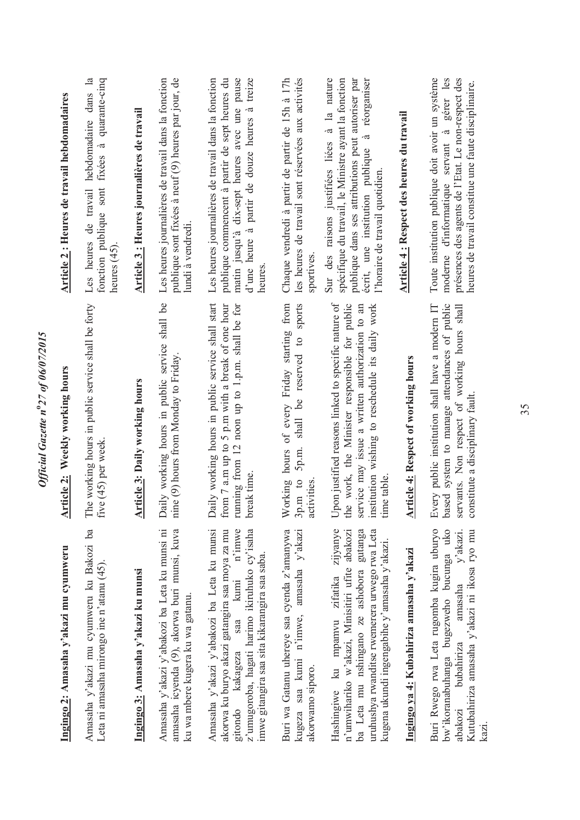| Ingingo 2: Amasaha y'akazi mu cyumweru                                                                                                                                                                                                      | Article 2: Weekly working hours                                                                                                                                                                                           | Article 2: Heures de travail hebdomadaires                                                                                                                                                                                                          |
|---------------------------------------------------------------------------------------------------------------------------------------------------------------------------------------------------------------------------------------------|---------------------------------------------------------------------------------------------------------------------------------------------------------------------------------------------------------------------------|-----------------------------------------------------------------------------------------------------------------------------------------------------------------------------------------------------------------------------------------------------|
| Amasaha y'akazi mu cyumweru ku Bakozi ba<br>Leta ni amasaha mirongo ine n'atanu (45).                                                                                                                                                       | The working hours in public service shall be forty<br>five (45) per week                                                                                                                                                  | hebdomadaire dans la<br>fixées à quarante-cinq<br>fonction publique sont<br>Les heures de travail<br>heures $(45)$                                                                                                                                  |
| Ingingo 3: Amasaha y'akazi ku munsi                                                                                                                                                                                                         | rticle 3: Daily working hours<br>ᆌ                                                                                                                                                                                        | Article 3: Heures journalières de travail                                                                                                                                                                                                           |
| Amasaha y'akazi y'abakozi ba Leta ku munsi ni<br>amasaha icyenda (9), akorwa buri munsi, kuva<br>ku wa mbere kugera ku wa gatanu.                                                                                                           | Daily working hours in public service shall be<br>nine (9) hours from Monday to Friday.                                                                                                                                   | Les heures journalières de travail dans la fonction<br>publique sont fixées à neuf (9) heures par jour, de<br>lundi à vendredi.                                                                                                                     |
| Amasaha y'akazi y'abakozi ba Leta ku munsi<br>akorwa ku buryo akazi gatangira saa moya za mu<br>z'umugoroba, hagati harimo ikiruhuko cy'isaha<br>saa kumi n'imwe<br>imwe gitangira saa sita kikarangira saa saba.<br>gitondo kakageza       | Daily working hours in public service shall start<br>from 7 a.m up to 5 p.m with a break of one hour<br>running from 12 noon up to 1.p.m. shall be for<br>break time.                                                     | Les heures journalières de travail dans la fonction<br>publique commencent à partir de sept heures du<br>d'une heure à partir de douze heures à treize<br>matin jusqu'à dix-sept heures avec une pause<br>heures                                    |
| Buri wa Gatanu uhereye saa cyenda z'amanywa<br>kugeza saa kumi n'imwe, amasaha y'akazi<br>akorwamo siporo.                                                                                                                                  | sports<br>of every Friday starting from<br>be reserved to<br>shall<br>5p.m.<br>Working hours<br>$3p.m.$ to<br>activities                                                                                                  | les heures de travail sont réservées aux activités<br>Chaque vendredi à partir de partir de 15h à 17h<br>sportives                                                                                                                                  |
| zijyanye<br>n'umwihariko w'akazi, Minisitiri ufite abakozi<br>uruhushya rwanditse rwemerera urwego rwa Leta<br>gutanga<br>kugena ukundi ingengabihe y'amasaha y'akazi.<br>ba Leta mu nshingano ze ashobora<br>Hashingiwe ku mpamvu zifatika | Upon justified reasons linked to specific nature of<br>the work, the Minister responsible for public<br>service may issue a written authorization to an<br>institution wishing to reschedule its daily work<br>time table | Sur des raisons justifiées liées à la nature<br>spécifique du travail, le Ministre ayant la fonction<br>publique dans ses attributions peut autoriser par<br>réorganiser<br>à<br>écrit, une institution publique<br>l'horaire de travail quotidien. |
| Ingingo ya 4: Kubahiriza amasaha y'akazi                                                                                                                                                                                                    | <b>Article 4: Respect of working hours</b>                                                                                                                                                                                | Article 4: Respect des heures du travail                                                                                                                                                                                                            |
| bw'ikoranabuhanga bugezweho bucunga uko<br>Buri Rwego rwa Leta rugomba kugira uburyo<br>Kutubahiriza amasaha y'akazi ni ikosa ryo mu<br>amasaha y'akazi.<br>bubahiriza<br>abakozi<br>kazi                                                   | ised system to manage attendances of public<br>servants. Non respect of working hours shall<br>Every public institution shall have a modern IT<br>constitute a disciplinary fault<br>.<br>Ba                              | moderne d'informatique servant à gérer les<br>Toute institution publique doit avoir un système<br>présences des agents de l'Etat. Le non-respect des<br>heures de travail constitue une faute disciplinaire.                                        |

*Official Gazette n***o***27 of 06/07/2015* 

Official Gazette nº27 of 06/07/2015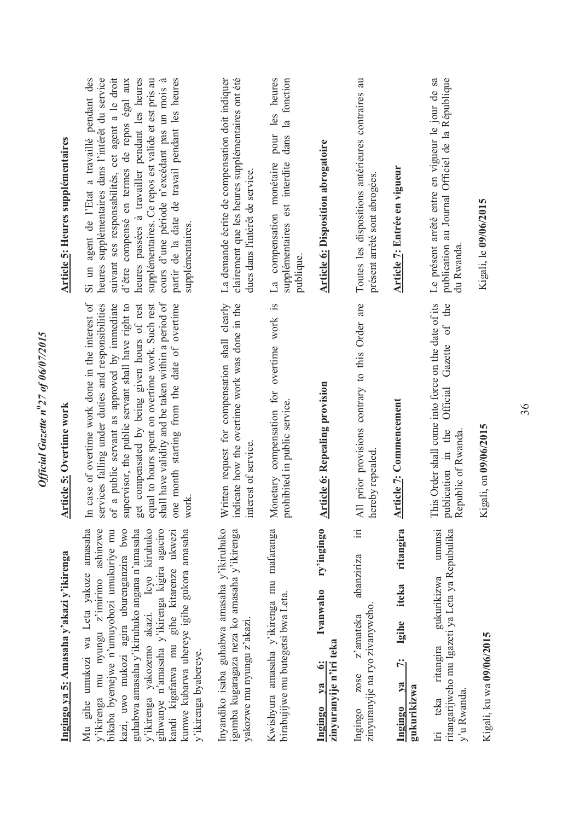| Ingingo ya 5: Amasaha y'akazi y'ikirenga                                                                                                                                                                                                                                                                                                                                                                                                 | <b>Article 5: Overtime work</b>                                                                                                                                                                                                                                                                                                                                                                                                                        | <b>Article 5: Heures supplémentaires</b>                                                                                                                                                                                                                                                                                                                                                                                                         |
|------------------------------------------------------------------------------------------------------------------------------------------------------------------------------------------------------------------------------------------------------------------------------------------------------------------------------------------------------------------------------------------------------------------------------------------|--------------------------------------------------------------------------------------------------------------------------------------------------------------------------------------------------------------------------------------------------------------------------------------------------------------------------------------------------------------------------------------------------------------------------------------------------------|--------------------------------------------------------------------------------------------------------------------------------------------------------------------------------------------------------------------------------------------------------------------------------------------------------------------------------------------------------------------------------------------------------------------------------------------------|
| Mu gihe umukozi wa Leta yakoze amasaha<br>y'ikirenga mu nyungu z'imirimo ashinzwe<br>kazi, uwo mukozi agira uburenganzira bwo<br>y'ikirenga yakozemo akazi. Icyo kiruhuko<br>gihwanye n'amasaha y'ikirenga kigira agaciro<br>kumwe kubarwa uhereye igihe gukora amasaha<br>guhabwa amasaha y'ikiruhuko angana n'amasaha<br>bikaba byemejwe n'umuyobozi umukuriye mu<br>kandi kigafatwa mu gihe kitarenze ukwezi<br>y'ikirenga byabereye. | case of overtime work done in the interest of<br>shall have validity and be taken within a period of<br>services falling under duties and responsibilities<br>a public servant as approved by immediate<br>supervisor, the public servant shall have right to<br>get compensated by being given hours of rest<br>equal to hours spent on overtime work. Such rest<br>one month starting from the date of overtime<br>work.<br>$\mathbb{H}$<br>$\sigma$ | suivant ses responsabilités, cet agent a le droit<br>supplémentaires. Ce repos est valide et est pris au<br>partir de la date de travail pendant les heures<br>Si un agent de l'Etat a travaillé pendant des<br>heures supplémentaires dans l'intérêt du service<br>heures passées à travailler pendant les heures<br>$\dot{a}$<br>d'être compensé en termes de repos égal aux<br>cours d'une période n'excédant pas un mois<br>supplémentaires. |
| Inyandiko isaba guhabwa amasaha y'ikiruhuko<br>igomba kugaragaza neza ko amasaha y'ikirenga<br>yakozwe mu nyungu z'akazi.                                                                                                                                                                                                                                                                                                                | Written request for compensation shall clearly<br>indicate how the overtime work was done in the<br>interest of service.                                                                                                                                                                                                                                                                                                                               | clairement que les heures supplémentaires ont été<br>La demande écrite de compensation doit indiquer<br>dues dans l'intérêt de service.                                                                                                                                                                                                                                                                                                          |
| Kwishyura amasaha y'ikirenga mu mafaranga<br>birabujijwe mu butegetsi bwa Leta.                                                                                                                                                                                                                                                                                                                                                          | Monetary compensation for overtime work is<br>prohibited in public service.                                                                                                                                                                                                                                                                                                                                                                            | pour les heures<br>la fonction<br>dans<br>La compensation monétaire<br>supplémentaires est interdite<br>publique.                                                                                                                                                                                                                                                                                                                                |
| ry'ingingo<br>Ivanwaho<br>zinyuranyije n'iri teka<br>$\ddot{\bullet}$<br>$1$<br>Ingingo                                                                                                                                                                                                                                                                                                                                                  | <b>Article 6: Repealing provision</b>                                                                                                                                                                                                                                                                                                                                                                                                                  | <b>Article 6: Disposition abrogatoire</b>                                                                                                                                                                                                                                                                                                                                                                                                        |
| $\equiv$<br>abanziriza<br>zinyuranyije na ryo zivanyweho.<br>z'amateka<br>zose<br>Ingingo                                                                                                                                                                                                                                                                                                                                                | All prior provisions contrary to this Order are<br>hereby repealed                                                                                                                                                                                                                                                                                                                                                                                     | Toutes les dispositions antérieures contraires au<br>présent arrêté sont abrogées.                                                                                                                                                                                                                                                                                                                                                               |
| ritangira<br>iteka<br>Igihe<br>Ń<br>$1$<br>gukurikizwa<br>Ingingo                                                                                                                                                                                                                                                                                                                                                                        | <b>Article 7:</b> Commencement                                                                                                                                                                                                                                                                                                                                                                                                                         | Article 7: Entrée en vigueur                                                                                                                                                                                                                                                                                                                                                                                                                     |
| ritangarijweho mu Igazeti ya Leta ya Repubulika<br>umunsi<br>gukurikizwa<br>ritangira<br>y'u Rwanda.<br>teka<br>$\overline{\mathbb{H}}$                                                                                                                                                                                                                                                                                                  | This Order shall come into force on the date of its<br>the<br>Gazette of<br>Official<br>publication in the<br>Republic of Rwanda                                                                                                                                                                                                                                                                                                                       | publication au Journal Officiel de la République<br>Le présent arrêté entre en vigueur le jour de sa<br>du Rwanda                                                                                                                                                                                                                                                                                                                                |
| Kigali, ku wa 09/06/2015                                                                                                                                                                                                                                                                                                                                                                                                                 | Kigali, on 09/06/2015                                                                                                                                                                                                                                                                                                                                                                                                                                  | Kigali, le 09/06/2015                                                                                                                                                                                                                                                                                                                                                                                                                            |

*Official Gazette n***o***27 of 06/07/2015* 

Official Gazette nº27 of 06/07/2015

36